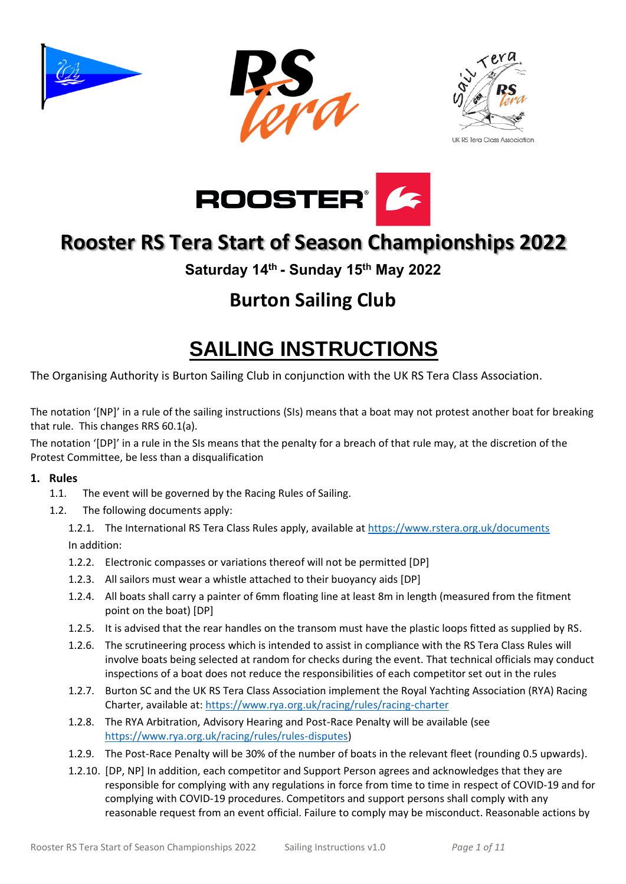





**UK RS Tera Class Association** 



## **Rooster RS Tera Start of Season Championships 2022**

**Saturday 14th - Sunday 15th May 2022**

## **Burton Sailing Club**

## **SAILING INSTRUCTIONS**

The Organising Authority is Burton Sailing Club in conjunction with the UK RS Tera Class Association.

The notation '[NP]' in a rule of the sailing instructions (SIs) means that a boat may not protest another boat for breaking that rule. This changes RRS 60.1(a).

The notation '[DP]' in a rule in the SIs means that the penalty for a breach of that rule may, at the discretion of the Protest Committee, be less than a disqualification

#### **1. Rules**

- 1.1. The event will be governed by the Racing Rules of Sailing.
- 1.2. The following documents apply:
	- 1.2.1. The International RS Tera Class Rules apply, available at <https://www.rstera.org.uk/documents> In addition:
	- 1.2.2. Electronic compasses or variations thereof will not be permitted [DP]
	- 1.2.3. All sailors must wear a whistle attached to their buoyancy aids [DP]
	- 1.2.4. All boats shall carry a painter of 6mm floating line at least 8m in length (measured from the fitment point on the boat) [DP]
	- 1.2.5. It is advised that the rear handles on the transom must have the plastic loops fitted as supplied by RS.
	- 1.2.6. The scrutineering process which is intended to assist in compliance with the RS Tera Class Rules will involve boats being selected at random for checks during the event. That technical officials may conduct inspections of a boat does not reduce the responsibilities of each competitor set out in the rules
	- 1.2.7. Burton SC and the UK RS Tera Class Association implement the Royal Yachting Association (RYA) Racing Charter, available at:<https://www.rya.org.uk/racing/rules/racing-charter>
	- 1.2.8. The RYA Arbitration, Advisory Hearing and Post-Race Penalty will be available (see [https://www.rya.org.uk/racing/rules/rules-disputes\)](https://www.rya.org.uk/racing/rules/rules-disputes)
	- 1.2.9. The Post-Race Penalty will be 30% of the number of boats in the relevant fleet (rounding 0.5 upwards).
	- 1.2.10. [DP, NP] In addition, each competitor and Support Person agrees and acknowledges that they are responsible for complying with any regulations in force from time to time in respect of COVID-19 and for complying with COVID-19 procedures. Competitors and support persons shall comply with any reasonable request from an event official. Failure to comply may be misconduct. Reasonable actions by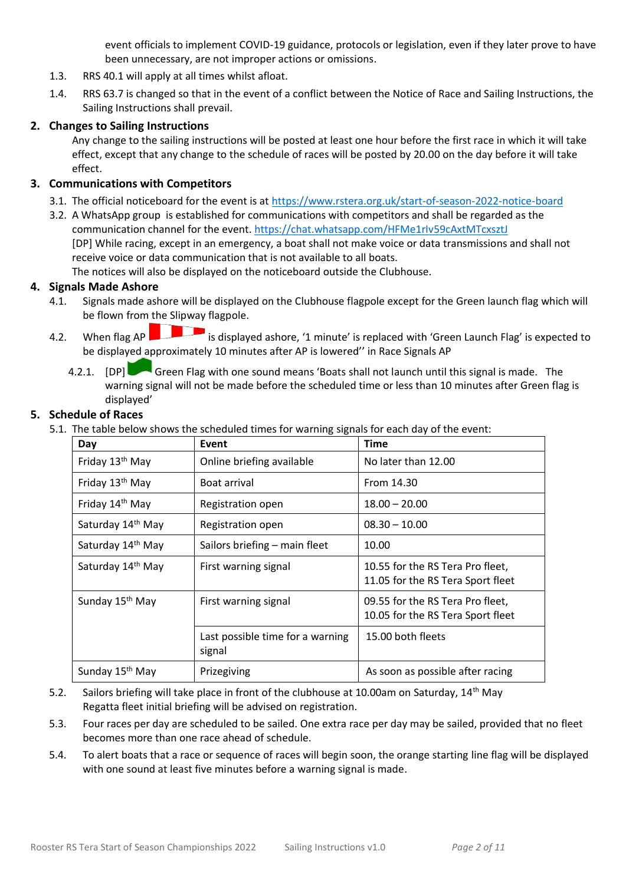event officials to implement COVID-19 guidance, protocols or legislation, even if they later prove to have been unnecessary, are not improper actions or omissions.

- 1.3. RRS 40.1 will apply at all times whilst afloat.
- 1.4. RRS 63.7 is changed so that in the event of a conflict between the Notice of Race and Sailing Instructions, the Sailing Instructions shall prevail.

#### **2. Changes to Sailing Instructions**

Any change to the sailing instructions will be posted at least one hour before the first race in which it will take effect, except that any change to the schedule of races will be posted by 20.00 on the day before it will take effect.

#### **3. Communications with Competitors**

- 3.1. The official noticeboard for the event is at<https://www.rstera.org.uk/start-of-season-2022-notice-board>
- 3.2. A WhatsApp group is established for communications with competitors and shall be regarded as the communication channel for the event.<https://chat.whatsapp.com/HFMe1rIv59cAxtMTcxsztJ> [DP] While racing, except in an emergency, a boat shall not make voice or data transmissions and shall not receive voice or data communication that is not available to all boats.

The notices will also be displayed on the noticeboard outside the Clubhouse.

#### **4. Signals Made Ashore**

- 4.1. Signals made ashore will be displayed on the Clubhouse flagpole except for the Green launch flag which will be flown from the Slipway flagpole.
- 4.2. When flag AP is displayed ashore, '1 minute' is replaced with 'Green Launch Flag' is expected to be displayed approximately 10 minutes after AP is lowered'' in Race Signals AP
	- 4.2.1. [DP] Green Flag with one sound means 'Boats shall not launch until this signal is made. The warning signal will not be made before the scheduled time or less than 10 minutes after Green flag is displayed'

#### **5. Schedule of Races**

5.1. The table below shows the scheduled times for warning signals for each day of the event:

| Day                         | Event                                      | <b>Time</b>                                                           |
|-----------------------------|--------------------------------------------|-----------------------------------------------------------------------|
| Friday 13 <sup>th</sup> May | Online briefing available                  | No later than 12.00                                                   |
| Friday 13th May             | Boat arrival                               | From 14.30                                                            |
| Friday 14th May             | Registration open                          | $18.00 - 20.00$                                                       |
| Saturday 14th May           | Registration open                          | $08.30 - 10.00$                                                       |
| Saturday 14th May           | Sailors briefing – main fleet              | 10.00                                                                 |
| Saturday 14th May           | First warning signal                       | 10.55 for the RS Tera Pro fleet,<br>11.05 for the RS Tera Sport fleet |
| Sunday 15 <sup>th</sup> May | First warning signal                       | 09.55 for the RS Tera Pro fleet,<br>10.05 for the RS Tera Sport fleet |
|                             | Last possible time for a warning<br>signal | 15.00 both fleets                                                     |
| Sunday 15 <sup>th</sup> May | Prizegiving                                | As soon as possible after racing                                      |

- 5.2. Sailors briefing will take place in front of the clubhouse at 10.00am on Saturday, 14<sup>th</sup> May Regatta fleet initial briefing will be advised on registration.
- 5.3. Four races per day are scheduled to be sailed. One extra race per day may be sailed, provided that no fleet becomes more than one race ahead of schedule.
- 5.4. To alert boats that a race or sequence of races will begin soon, the orange starting line flag will be displayed with one sound at least five minutes before a warning signal is made.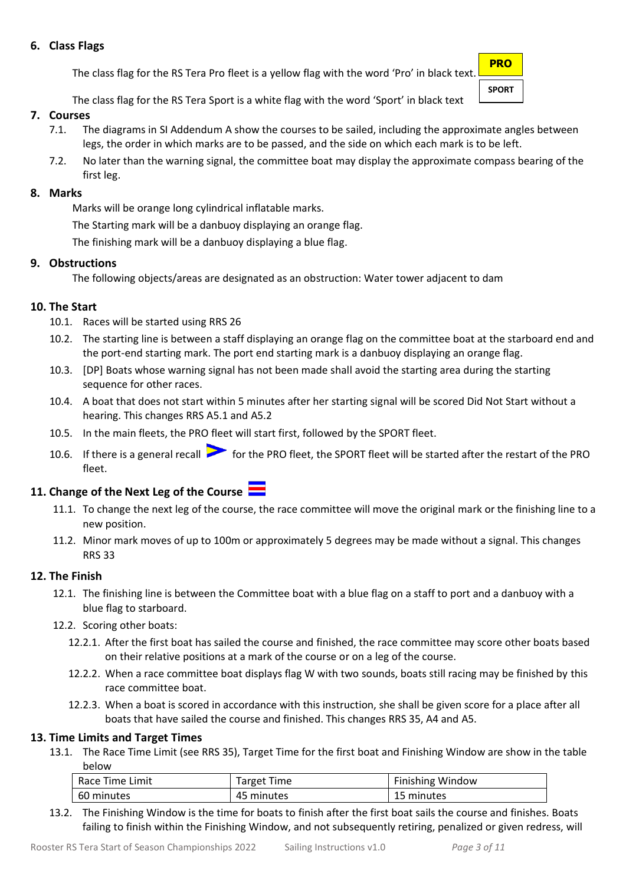#### **6. Class Flags**

The class flag for the RS Tera Pro fleet is a yellow flag with the word 'Pro' in black text.

**PRO SPORT**

The class flag for the RS Tera Sport is a white flag with the word 'Sport' in black text

#### **7. Courses**

- 7.1. The diagrams in SI Addendum A show the courses to be sailed, including the approximate angles between legs, the order in which marks are to be passed, and the side on which each mark is to be left.
- 7.2. No later than the warning signal, the committee boat may display the approximate compass bearing of the first leg.

#### **8. Marks**

Marks will be orange long cylindrical inflatable marks.

The Starting mark will be a danbuoy displaying an orange flag.

The finishing mark will be a danbuoy displaying a blue flag.

#### **9. Obstructions**

The following objects/areas are designated as an obstruction: Water tower adjacent to dam

#### **10. The Start**

- 10.1. Races will be started using RRS 26
- 10.2. The starting line is between a staff displaying an orange flag on the committee boat at the starboard end and the port-end starting mark. The port end starting mark is a danbuoy displaying an orange flag.
- 10.3. [DP] Boats whose warning signal has not been made shall avoid the starting area during the starting sequence for other races.
- 10.4. A boat that does not start within 5 minutes after her starting signal will be scored Did Not Start without a hearing. This changes RRS A5.1 and A5.2
- 10.5. In the main fleets, the PRO fleet will start first, followed by the SPORT fleet.
- 10.6. If there is a general recall **for the PRO fleet**, the SPORT fleet will be started after the restart of the PRO fleet.

### **11. Change of the Next Leg of the Course**

- 11.1. To change the next leg of the course, the race committee will move the original mark or the finishing line to a new position.
- 11.2. Minor mark moves of up to 100m or approximately 5 degrees may be made without a signal. This changes RRS 33

#### **12. The Finish**

- 12.1. The finishing line is between the Committee boat with a blue flag on a staff to port and a danbuoy with a blue flag to starboard.
- 12.2. Scoring other boats:
	- 12.2.1. After the first boat has sailed the course and finished, the race committee may score other boats based on their relative positions at a mark of the course or on a leg of the course.
	- 12.2.2. When a race committee boat displays flag W with two sounds, boats still racing may be finished by this race committee boat.
	- 12.2.3. When a boat is scored in accordance with this instruction, she shall be given score for a place after all boats that have sailed the course and finished. This changes RRS 35, A4 and A5.

#### **13. Time Limits and Target Times**

13.1. The Race Time Limit (see RRS 35), Target Time for the first boat and Finishing Window are show in the table below

| Race Time Limit | <b>Target Time</b> | <b>Finishing Window</b> |
|-----------------|--------------------|-------------------------|
| 60 minutes      | 45 minutes         | 15 minutes              |

13.2. The Finishing Window is the time for boats to finish after the first boat sails the course and finishes. Boats failing to finish within the Finishing Window, and not subsequently retiring, penalized or given redress, will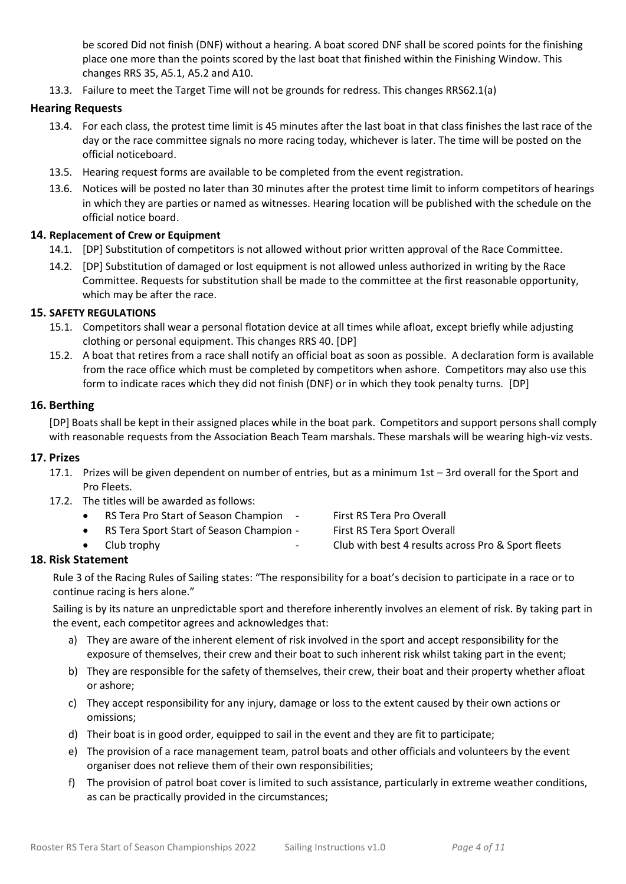be scored Did not finish (DNF) without a hearing. A boat scored DNF shall be scored points for the finishing place one more than the points scored by the last boat that finished within the Finishing Window. This changes RRS 35, A5.1, A5.2 and A10.

13.3. Failure to meet the Target Time will not be grounds for redress. This changes RRS62.1(a)

#### **Hearing Requests**

- 13.4. For each class, the protest time limit is 45 minutes after the last boat in that class finishes the last race of the day or the race committee signals no more racing today, whichever is later. The time will be posted on the official noticeboard.
- 13.5. Hearing request forms are available to be completed from the event registration.
- 13.6. Notices will be posted no later than 30 minutes after the protest time limit to inform competitors of hearings in which they are parties or named as witnesses. Hearing location will be published with the schedule on the official notice board.

#### **14. Replacement of Crew or Equipment**

- 14.1. [DP] Substitution of competitors is not allowed without prior written approval of the Race Committee.
- 14.2. [DP] Substitution of damaged or lost equipment is not allowed unless authorized in writing by the Race Committee. Requests for substitution shall be made to the committee at the first reasonable opportunity, which may be after the race.

#### **15. SAFETY REGULATIONS**

- 15.1. Competitors shall wear a personal flotation device at all times while afloat, except briefly while adjusting clothing or personal equipment. This changes RRS 40. [DP]
- 15.2. A boat that retires from a race shall notify an official boat as soon as possible. A declaration form is available from the race office which must be completed by competitors when ashore. Competitors may also use this form to indicate races which they did not finish (DNF) or in which they took penalty turns. [DP]

#### **16. Berthing**

[DP] Boats shall be kept in their assigned places while in the boat park. Competitors and support persons shall comply with reasonable requests from the Association Beach Team marshals. These marshals will be wearing high-viz vests.

#### **17. Prizes**

- 17.1. Prizes will be given dependent on number of entries, but as a minimum 1st 3rd overall for the Sport and Pro Fleets.
- 17.2. The titles will be awarded as follows:
	- RS Tera Pro Start of Season Champion First RS Tera Pro Overall
		- RS Tera Sport Start of Season Champion First RS Tera Sport Overall
			-
- 
- Club trophy **Club trophy -** Club with best 4 results across Pro & Sport fleets

#### **18. Risk Statement**

Rule 3 of the Racing Rules of Sailing states: "The responsibility for a boat's decision to participate in a race or to continue racing is hers alone."

Sailing is by its nature an unpredictable sport and therefore inherently involves an element of risk. By taking part in the event, each competitor agrees and acknowledges that:

- a) They are aware of the inherent element of risk involved in the sport and accept responsibility for the exposure of themselves, their crew and their boat to such inherent risk whilst taking part in the event;
- b) They are responsible for the safety of themselves, their crew, their boat and their property whether afloat or ashore;
- c) They accept responsibility for any injury, damage or loss to the extent caused by their own actions or omissions;
- d) Their boat is in good order, equipped to sail in the event and they are fit to participate;
- e) The provision of a race management team, patrol boats and other officials and volunteers by the event organiser does not relieve them of their own responsibilities;
- f) The provision of patrol boat cover is limited to such assistance, particularly in extreme weather conditions, as can be practically provided in the circumstances;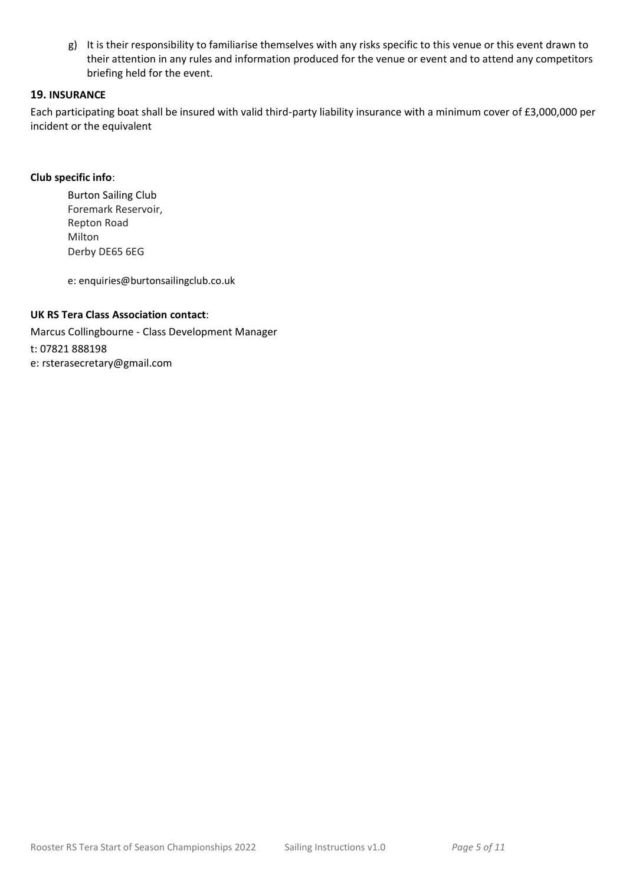g) It is their responsibility to familiarise themselves with any risks specific to this venue or this event drawn to their attention in any rules and information produced for the venue or event and to attend any competitors briefing held for the event.

#### **19. INSURANCE**

Each participating boat shall be insured with valid third-party liability insurance with a minimum cover of £3,000,000 per incident or the equivalent

#### **Club specific info**:

Burton Sailing Club Foremark Reservoir, Repton Road Milton Derby DE65 6EG

e: enquiries@burtonsailingclub.co.uk

#### **UK RS Tera Class Association contact**:

Marcus Collingbourne - Class Development Manager t: 07821 888198 e: rsterasecretary@gmail.com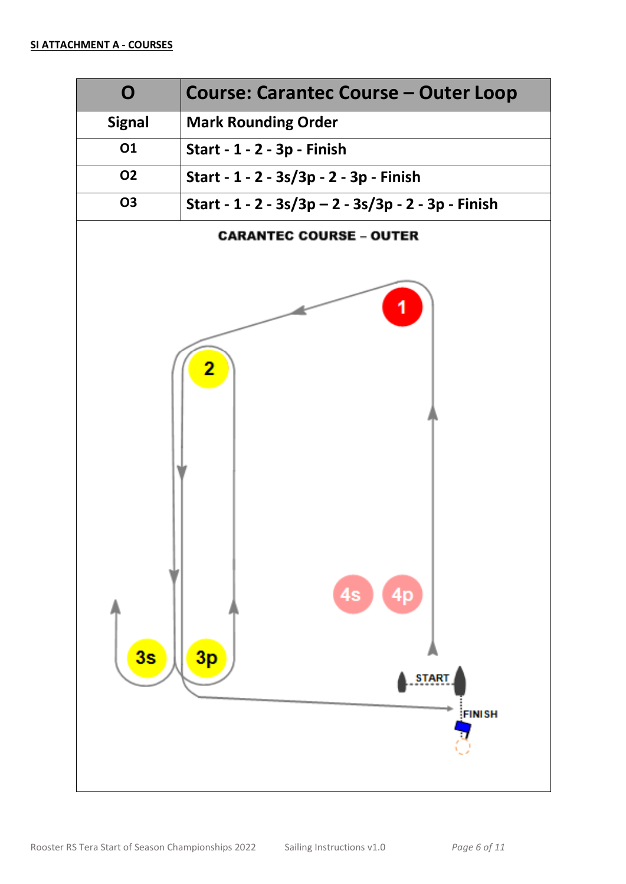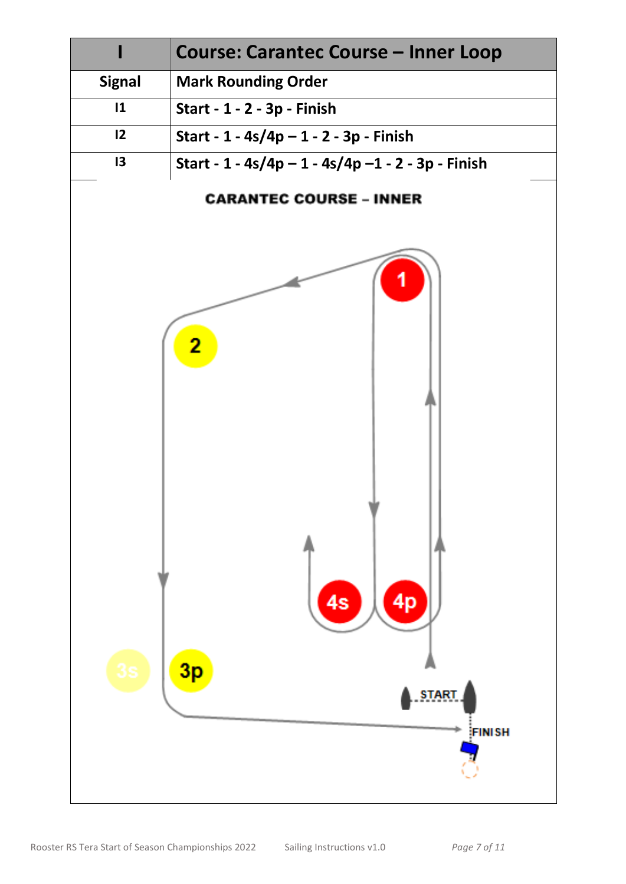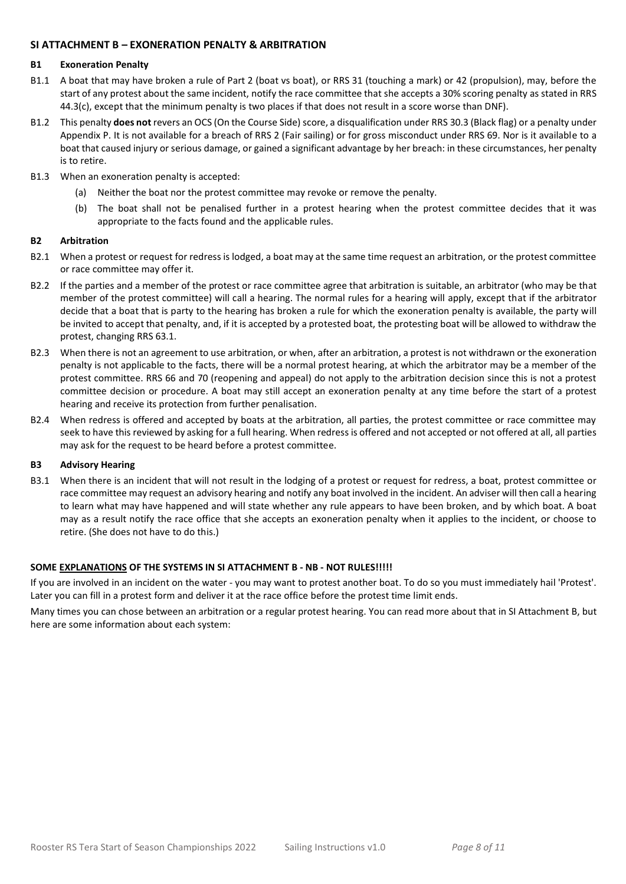#### **SI ATTACHMENT B – EXONERATION PENALTY & ARBITRATION**

#### **B1 Exoneration Penalty**

- B1.1 A boat that may have broken a rule of Part 2 (boat vs boat), or RRS 31 (touching a mark) or 42 (propulsion), may, before the start of any protest about the same incident, notify the race committee that she accepts a 30% scoring penalty as stated in RRS 44.3(c), except that the minimum penalty is two places if that does not result in a score worse than DNF).
- B1.2 This penalty **does not** revers an OCS (On the Course Side) score, a disqualification under RRS 30.3 (Black flag) or a penalty under Appendix P. It is not available for a breach of RRS 2 (Fair sailing) or for gross misconduct under RRS 69. Nor is it available to a boat that caused injury or serious damage, or gained a significant advantage by her breach: in these circumstances, her penalty is to retire.
- B1.3 When an exoneration penalty is accepted:
	- (a) Neither the boat nor the protest committee may revoke or remove the penalty.
	- (b) The boat shall not be penalised further in a protest hearing when the protest committee decides that it was appropriate to the facts found and the applicable rules.

#### **B2 Arbitration**

- B2.1 When a protest or request for redress is lodged, a boat may at the same time request an arbitration, or the protest committee or race committee may offer it.
- B2.2 If the parties and a member of the protest or race committee agree that arbitration is suitable, an arbitrator (who may be that member of the protest committee) will call a hearing. The normal rules for a hearing will apply, except that if the arbitrator decide that a boat that is party to the hearing has broken a rule for which the exoneration penalty is available, the party will be invited to accept that penalty, and, if it is accepted by a protested boat, the protesting boat will be allowed to withdraw the protest, changing RRS 63.1.
- B2.3 When there is not an agreement to use arbitration, or when, after an arbitration, a protest is not withdrawn or the exoneration penalty is not applicable to the facts, there will be a normal protest hearing, at which the arbitrator may be a member of the protest committee. RRS 66 and 70 (reopening and appeal) do not apply to the arbitration decision since this is not a protest committee decision or procedure. A boat may still accept an exoneration penalty at any time before the start of a protest hearing and receive its protection from further penalisation.
- B2.4 When redress is offered and accepted by boats at the arbitration, all parties, the protest committee or race committee may seek to have this reviewed by asking for a full hearing. When redress is offered and not accepted or not offered at all, all parties may ask for the request to be heard before a protest committee.

#### **B3 Advisory Hearing**

B3.1 When there is an incident that will not result in the lodging of a protest or request for redress, a boat, protest committee or race committee may request an advisory hearing and notify any boat involved in the incident. An adviser will then call a hearing to learn what may have happened and will state whether any rule appears to have been broken, and by which boat. A boat may as a result notify the race office that she accepts an exoneration penalty when it applies to the incident, or choose to retire. (She does not have to do this.)

#### **SOME EXPLANATIONS OF THE SYSTEMS IN SI ATTACHMENT B - NB - NOT RULES!!!!!**

If you are involved in an incident on the water - you may want to protest another boat. To do so you must immediately hail 'Protest'. Later you can fill in a protest form and deliver it at the race office before the protest time limit ends.

Many times you can chose between an arbitration or a regular protest hearing. You can read more about that in SI Attachment B, but here are some information about each system: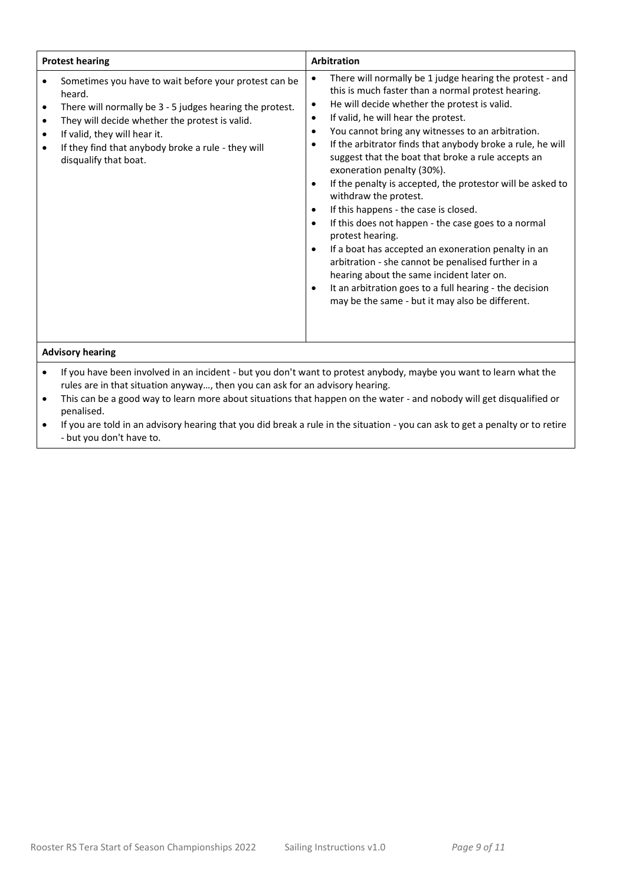| <b>Protest hearing</b>                                                                                                                                                                                                                                                                                                                   | <b>Arbitration</b>                                                                                                                                                                                                                                                                                                                                                                                                                                                                                                                                                                                                                                                                                                                                                                                                                                                                                                                                                                                                        |  |  |
|------------------------------------------------------------------------------------------------------------------------------------------------------------------------------------------------------------------------------------------------------------------------------------------------------------------------------------------|---------------------------------------------------------------------------------------------------------------------------------------------------------------------------------------------------------------------------------------------------------------------------------------------------------------------------------------------------------------------------------------------------------------------------------------------------------------------------------------------------------------------------------------------------------------------------------------------------------------------------------------------------------------------------------------------------------------------------------------------------------------------------------------------------------------------------------------------------------------------------------------------------------------------------------------------------------------------------------------------------------------------------|--|--|
| Sometimes you have to wait before your protest can be<br>heard.<br>There will normally be 3 - 5 judges hearing the protest.<br>٠<br>They will decide whether the protest is valid.<br>$\bullet$<br>If valid, they will hear it.<br>$\bullet$<br>If they find that anybody broke a rule - they will<br>$\bullet$<br>disqualify that boat. | There will normally be 1 judge hearing the protest - and<br>$\bullet$<br>this is much faster than a normal protest hearing.<br>He will decide whether the protest is valid.<br>$\bullet$<br>If valid, he will hear the protest.<br>$\bullet$<br>You cannot bring any witnesses to an arbitration.<br>$\bullet$<br>If the arbitrator finds that anybody broke a rule, he will<br>$\bullet$<br>suggest that the boat that broke a rule accepts an<br>exoneration penalty (30%).<br>If the penalty is accepted, the protestor will be asked to<br>$\bullet$<br>withdraw the protest.<br>If this happens - the case is closed.<br>$\bullet$<br>If this does not happen - the case goes to a normal<br>$\bullet$<br>protest hearing.<br>If a boat has accepted an exoneration penalty in an<br>$\bullet$<br>arbitration - she cannot be penalised further in a<br>hearing about the same incident later on.<br>It an arbitration goes to a full hearing - the decision<br>٠<br>may be the same - but it may also be different. |  |  |
| <b>Advisory hearing</b>                                                                                                                                                                                                                                                                                                                  |                                                                                                                                                                                                                                                                                                                                                                                                                                                                                                                                                                                                                                                                                                                                                                                                                                                                                                                                                                                                                           |  |  |
| If you have been involved in an incident - but you don't want to protest anybody, maybe you want to learn what the<br>$\bullet$<br>rules are in that situation anyway, then you can ask for an advisory hearing.                                                                                                                         |                                                                                                                                                                                                                                                                                                                                                                                                                                                                                                                                                                                                                                                                                                                                                                                                                                                                                                                                                                                                                           |  |  |

- This can be a good way to learn more about situations that happen on the water and nobody will get disqualified or penalised.
- If you are told in an advisory hearing that you did break a rule in the situation you can ask to get a penalty or to retire - but you don't have to.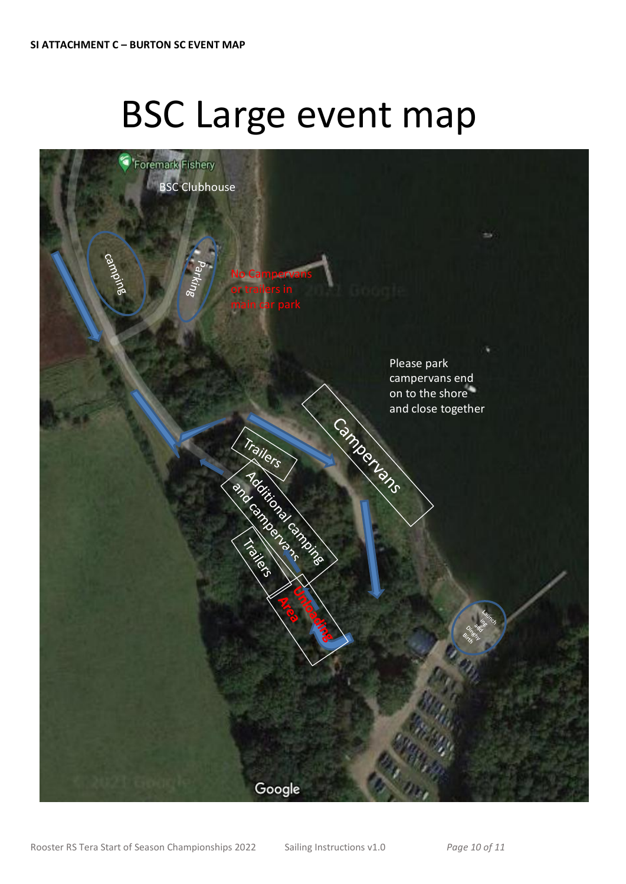# BSC Large event map